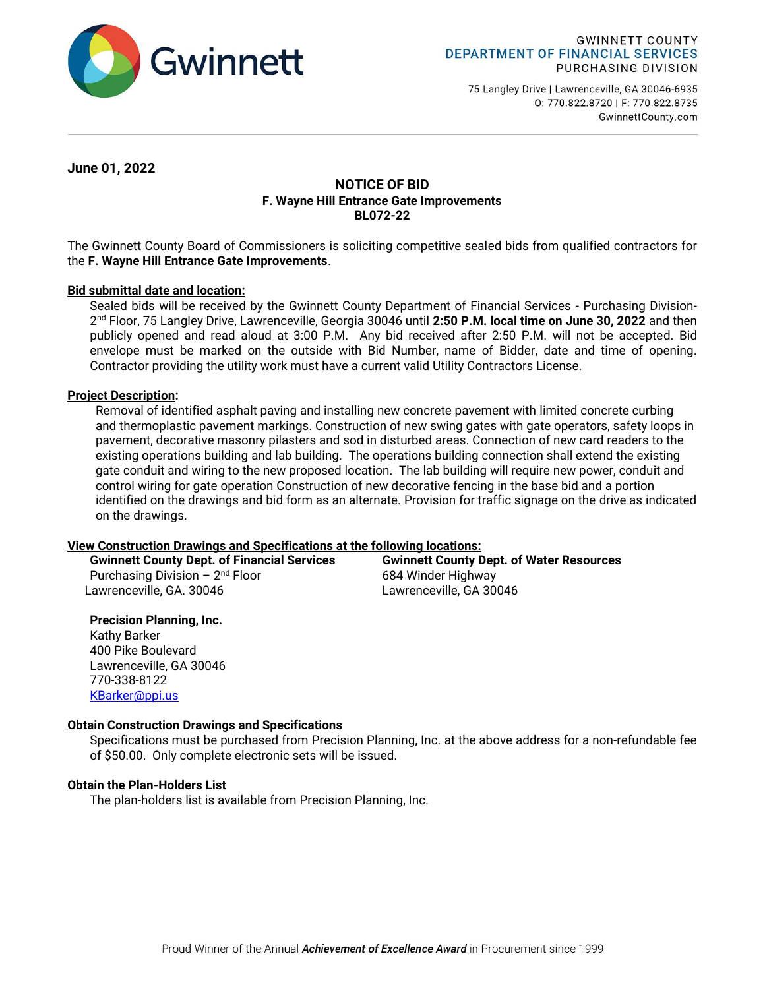

75 Langley Drive | Lawrenceville, GA 30046-6935 0: 770.822.8720 | F: 770.822.8735 GwinnettCounty.com

**June 01, 2022**

# **NOTICE OF BID F. Wayne Hill Entrance Gate Improvements BL072-22**

The Gwinnett County Board of Commissioners is soliciting competitive sealed bids from qualified contractors for the **F. Wayne Hill Entrance Gate Improvements**.

## **Bid submittal date and location:**

Sealed bids will be received by the Gwinnett County Department of Financial Services - Purchasing Division-2 nd Floor, 75 Langley Drive, Lawrenceville, Georgia 30046 until **2:50 P.M. local time on June 30, 2022** and then publicly opened and read aloud at 3:00 P.M. Any bid received after 2:50 P.M. will not be accepted. Bid envelope must be marked on the outside with Bid Number, name of Bidder, date and time of opening. Contractor providing the utility work must have a current valid Utility Contractors License.

## **Project Description:**

Removal of identified asphalt paving and installing new concrete pavement with limited concrete curbing and thermoplastic pavement markings. Construction of new swing gates with gate operators, safety loops in pavement, decorative masonry pilasters and sod in disturbed areas. Connection of new card readers to the existing operations building and lab building. The operations building connection shall extend the existing gate conduit and wiring to the new proposed location. The lab building will require new power, conduit and control wiring for gate operation Construction of new decorative fencing in the base bid and a portion identified on the drawings and bid form as an alternate. Provision for traffic signage on the drive as indicated on the drawings.

### **View Construction Drawings and Specifications at the following locations:**

Purchasing Division  $-2^{nd}$  Floor Lawrenceville, GA. 30046 Lawrenceville, GA 30046

**Gwinnett County Dept. of Financial Services Gwinnett County Dept. of Water Resources** 684 Winder Highway

## **Precision Planning, Inc.**

Kathy Barker 400 Pike Boulevard Lawrenceville, GA 30046 770-338-8122 [KBarker@ppi.us](mailto:KBarker@ppi.us)

## **Obtain Construction Drawings and Specifications**

Specifications must be purchased from Precision Planning, Inc. at the above address for a non-refundable fee of \$50.00. Only complete electronic sets will be issued.

### **Obtain the Plan-Holders List**

The plan-holders list is available from Precision Planning, Inc.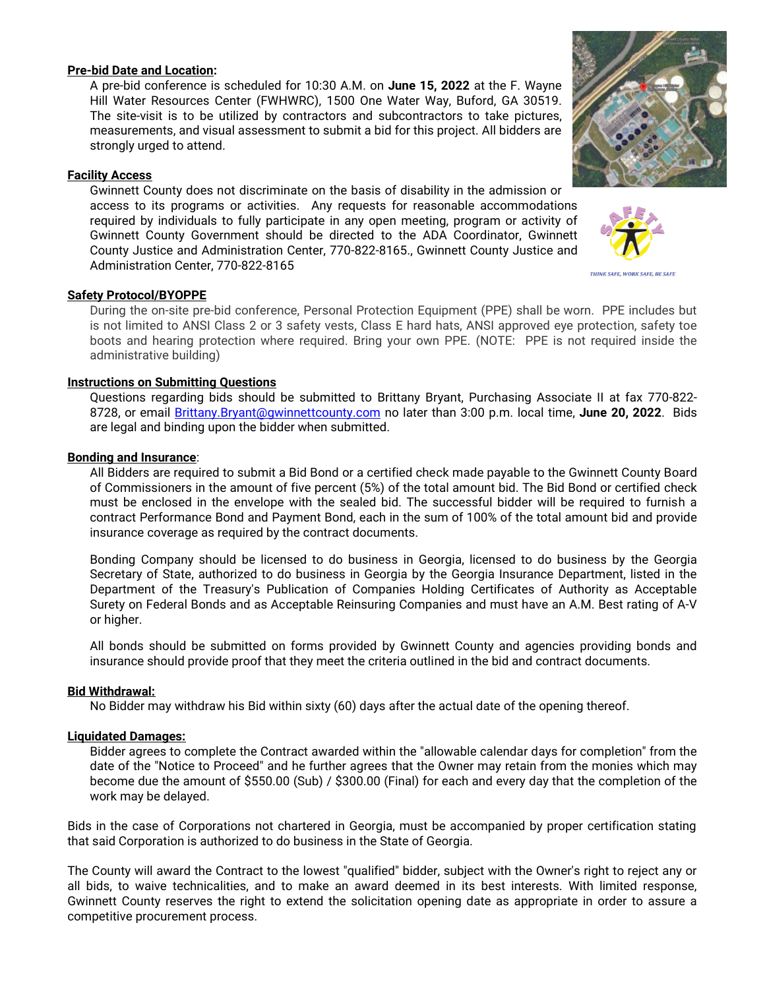### **Pre-bid Date and Location:**

A pre-bid conference is scheduled for 10:30 A.M. on **June 15, 2022** at the F. Wayne Hill Water Resources Center (FWHWRC), 1500 One Water Way, Buford, GA 30519. The site-visit is to be utilized by contractors and subcontractors to take pictures, measurements, and visual assessment to submit a bid for this project. All bidders are strongly urged to attend.

### **Facility Access**

Gwinnett County does not discriminate on the basis of disability in the admission or access to its programs or activities. Any requests for reasonable accommodations required by individuals to fully participate in any open meeting, program or activity of Gwinnett County Government should be directed to the ADA Coordinator, Gwinnett County Justice and Administration Center, 770-822-8165., Gwinnett County Justice and Administration Center, 770-822-8165

### **Safety Protocol/BYOPPE**

During the on-site pre-bid conference, Personal Protection Equipment (PPE) shall be worn. PPE includes but is not limited to ANSI Class 2 or 3 safety vests, Class E hard hats, ANSI approved eye protection, safety toe boots and hearing protection where required. Bring your own PPE. (NOTE: PPE is not required inside the administrative building)

#### **Instructions on Submitting Questions**

Questions regarding bids should be submitted to Brittany Bryant, Purchasing Associate II at fax 770-822- 8728, or email [Brittany.Bryant@gwinnettcounty.com](mailto:Brittany.Bryant@gwinnettcounty.com) no later than 3:00 p.m. local time, **June 20, 2022**. Bids are legal and binding upon the bidder when submitted.

#### **Bonding and Insurance**:

All Bidders are required to submit a Bid Bond or a certified check made payable to the Gwinnett County Board of Commissioners in the amount of five percent (5%) of the total amount bid. The Bid Bond or certified check must be enclosed in the envelope with the sealed bid. The successful bidder will be required to furnish a contract Performance Bond and Payment Bond, each in the sum of 100% of the total amount bid and provide insurance coverage as required by the contract documents.

Bonding Company should be licensed to do business in Georgia, licensed to do business by the Georgia Secretary of State, authorized to do business in Georgia by the Georgia Insurance Department, listed in the Department of the Treasury's Publication of Companies Holding Certificates of Authority as Acceptable Surety on Federal Bonds and as Acceptable Reinsuring Companies and must have an A.M. Best rating of A-V or higher.

All bonds should be submitted on forms provided by Gwinnett County and agencies providing bonds and insurance should provide proof that they meet the criteria outlined in the bid and contract documents.

#### **Bid Withdrawal:**

No Bidder may withdraw his Bid within sixty (60) days after the actual date of the opening thereof.

#### **Liquidated Damages:**

Bidder agrees to complete the Contract awarded within the "allowable calendar days for completion" from the date of the "Notice to Proceed" and he further agrees that the Owner may retain from the monies which may become due the amount of \$550.00 (Sub) / \$300.00 (Final) for each and every day that the completion of the work may be delayed.

Bids in the case of Corporations not chartered in Georgia, must be accompanied by proper certification stating that said Corporation is authorized to do business in the State of Georgia.

The County will award the Contract to the lowest "qualified" bidder, subject with the Owner's right to reject any or all bids, to waive technicalities, and to make an award deemed in its best interests. With limited response, Gwinnett County reserves the right to extend the solicitation opening date as appropriate in order to assure a competitive procurement process.





THINK SAFE, WORK SAFE, BE SAFE